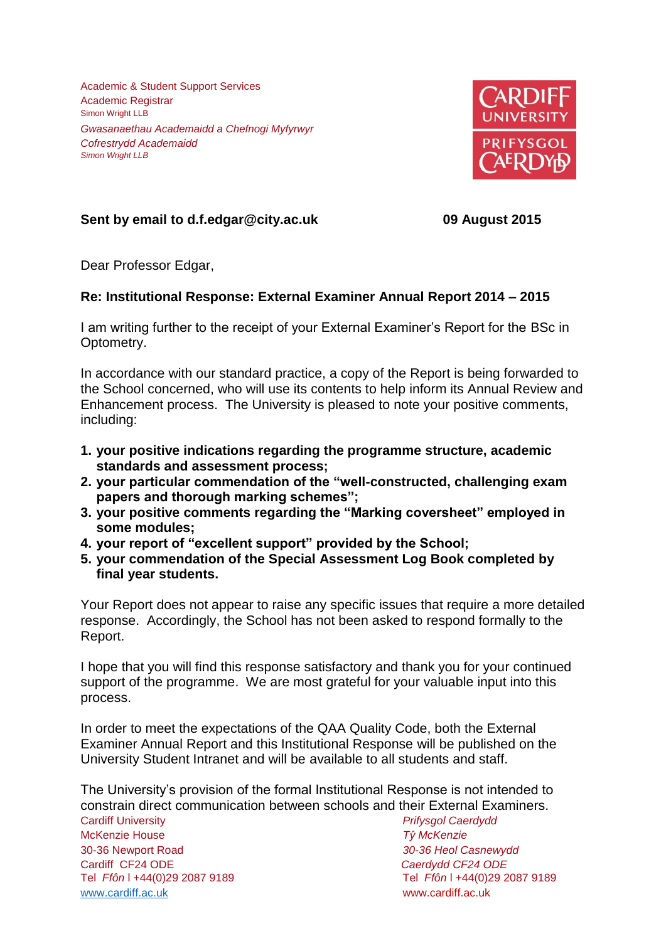Academic & Student Support Services Academic Registrar Simon Wright LLB *Gwasanaethau Academaidd a Chefnogi Myfyrwyr Cofrestrydd Academaidd Simon Wright LLB*



## **Sent by email to d.f.edgar@city.ac.uk 09 August 2015**

Dear Professor Edgar,

## **Re: Institutional Response: External Examiner Annual Report 2014 – 2015**

I am writing further to the receipt of your External Examiner's Report for the BSc in Optometry.

In accordance with our standard practice, a copy of the Report is being forwarded to the School concerned, who will use its contents to help inform its Annual Review and Enhancement process. The University is pleased to note your positive comments, including:

- **1. your positive indications regarding the programme structure, academic standards and assessment process;**
- **2. your particular commendation of the "well-constructed, challenging exam papers and thorough marking schemes";**
- **3. your positive comments regarding the "Marking coversheet" employed in some modules;**
- **4. your report of "excellent support" provided by the School;**
- **5. your commendation of the Special Assessment Log Book completed by final year students.**

Your Report does not appear to raise any specific issues that require a more detailed response. Accordingly, the School has not been asked to respond formally to the Report.

I hope that you will find this response satisfactory and thank you for your continued support of the programme. We are most grateful for your valuable input into this process.

In order to meet the expectations of the QAA Quality Code, both the External Examiner Annual Report and this Institutional Response will be published on the University Student Intranet and will be available to all students and staff.

Cardiff University *Prifysgol Caerdydd* The University's provision of the formal Institutional Response is not intended to constrain direct communication between schools and their External Examiners.

McKenzie House *Tŷ McKenzie* 30-36 Newport Road *30-36 Heol Casnewydd* Cardiff CF24 ODE *Caerdydd CF24 ODE* Tel *Ffôn* l +44(0)29 2087 9189 Tel *Ffôn* l +44(0)29 2087 9189 [www.cardiff.ac.uk](http://www.cardiff.ac.uk/) www.cardiff.ac.uk